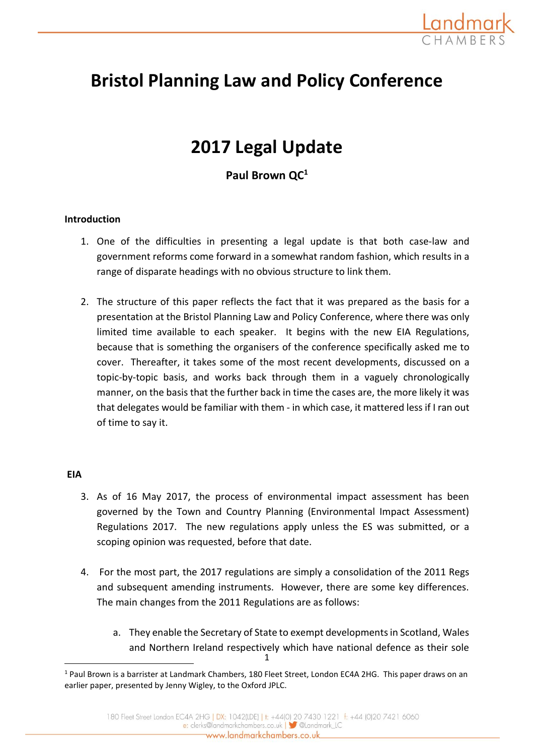

# **Bristol Planning Law and Policy Conference**

# **2017 Legal Update**

**Paul Brown QC<sup>1</sup>**

## **Introduction**

- 1. One of the difficulties in presenting a legal update is that both case-law and government reforms come forward in a somewhat random fashion, which results in a range of disparate headings with no obvious structure to link them.
- 2. The structure of this paper reflects the fact that it was prepared as the basis for a presentation at the Bristol Planning Law and Policy Conference, where there was only limited time available to each speaker. It begins with the new EIA Regulations, because that is something the organisers of the conference specifically asked me to cover. Thereafter, it takes some of the most recent developments, discussed on a topic-by-topic basis, and works back through them in a vaguely chronologically manner, on the basis that the further back in time the cases are, the more likely it was that delegates would be familiar with them - in which case, it mattered less if I ran out of time to say it.

## **EIA**

- 3. As of 16 May 2017, the process of environmental impact assessment has been governed by the Town and Country Planning (Environmental Impact Assessment) Regulations 2017. The new regulations apply unless the ES was submitted, or a scoping opinion was requested, before that date.
- 4. For the most part, the 2017 regulations are simply a consolidation of the 2011 Regs and subsequent amending instruments. However, there are some key differences. The main changes from the 2011 Regulations are as follows:
	- 1 a. They enable the Secretary of State to exempt developments in Scotland, Wales and Northern Ireland respectively which have national defence as their sole

<sup>&</sup>lt;sup>1</sup> Paul Brown is a barrister at Landmark Chambers, 180 Fleet Street, London EC4A 2HG. This paper draws on an earlier paper, presented by Jenny Wigley, to the Oxford JPLC.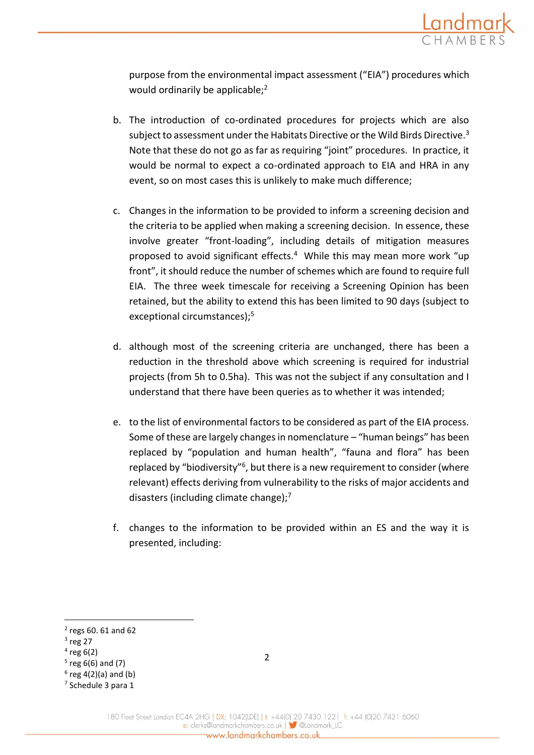

purpose from the environmental impact assessment ("EIA") procedures which would ordinarily be applicable;<sup>2</sup>

- b. The introduction of co-ordinated procedures for projects which are also subject to assessment under the Habitats Directive or the Wild Birds Directive.<sup>3</sup> Note that these do not go as far as requiring "joint" procedures. In practice, it would be normal to expect a co-ordinated approach to EIA and HRA in any event, so on most cases this is unlikely to make much difference;
- c. Changes in the information to be provided to inform a screening decision and the criteria to be applied when making a screening decision. In essence, these involve greater "front-loading", including details of mitigation measures proposed to avoid significant effects.<sup>4</sup> While this may mean more work "up front", it should reduce the number of schemes which are found to require full EIA. The three week timescale for receiving a Screening Opinion has been retained, but the ability to extend this has been limited to 90 days (subject to exceptional circumstances);<sup>5</sup>
- d. although most of the screening criteria are unchanged, there has been a reduction in the threshold above which screening is required for industrial projects (from 5h to 0.5ha). This was not the subject if any consultation and I understand that there have been queries as to whether it was intended;
- e. to the list of environmental factors to be considered as part of the EIA process. Some of these are largely changes in nomenclature – "human beings" has been replaced by "population and human health", "fauna and flora" has been replaced by "biodiversity"<sup>6</sup>, but there is a new requirement to consider (where relevant) effects deriving from vulnerability to the risks of major accidents and disasters (including climate change); $<sup>7</sup>$ </sup>
- f. changes to the information to be provided within an ES and the way it is presented, including:

**.** 

 $4$  reg 6(2)

<sup>2</sup> regs 60. 61 and 62

 $3$  reg 27

<sup>5</sup> reg 6(6) and (7)

 $6$  reg 4(2)(a) and (b)

<sup>7</sup> Schedule 3 para 1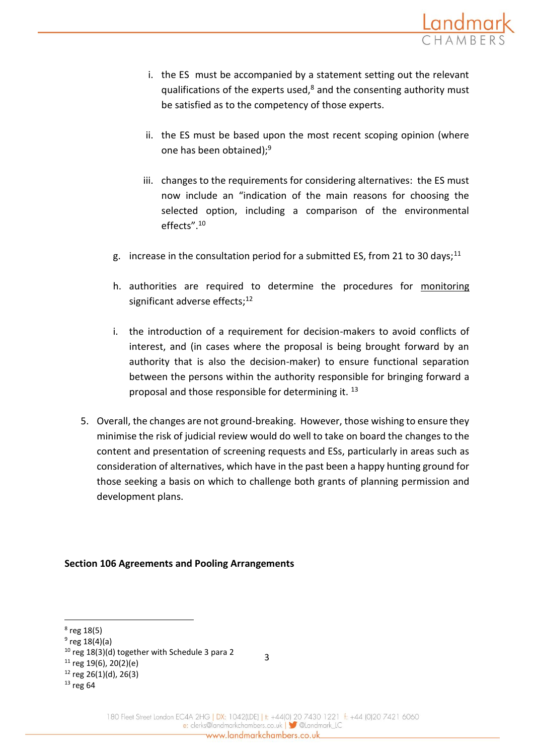

- i. the ES must be accompanied by a statement setting out the relevant qualifications of the experts used, $8$  and the consenting authority must be satisfied as to the competency of those experts.
- ii. the ES must be based upon the most recent scoping opinion (where one has been obtained);<sup>9</sup>
- iii. changes to the requirements for considering alternatives: the ES must now include an "indication of the main reasons for choosing the selected option, including a comparison of the environmental effects".<sup>10</sup>
- g. increase in the consultation period for a submitted ES, from 21 to 30 days;<sup>11</sup>
- h. authorities are required to determine the procedures for monitoring significant adverse effects;<sup>12</sup>
- i. the introduction of a requirement for decision-makers to avoid conflicts of interest, and (in cases where the proposal is being brought forward by an authority that is also the decision-maker) to ensure functional separation between the persons within the authority responsible for bringing forward a proposal and those responsible for determining it. <sup>13</sup>
- 5. Overall, the changes are not ground-breaking. However, those wishing to ensure they minimise the risk of judicial review would do well to take on board the changes to the content and presentation of screening requests and ESs, particularly in areas such as consideration of alternatives, which have in the past been a happy hunting ground for those seeking a basis on which to challenge both grants of planning permission and development plans.

## **Section 106 Agreements and Pooling Arrangements**

**.** 

<sup>8</sup> reg 18(5)

<sup>&</sup>lt;sup>9</sup> reg 18(4)(a)

<sup>10</sup> reg 18(3)(d) together with Schedule 3 para 2

 $11$  reg 19(6), 20(2)(e)

 $12$  reg 26(1)(d), 26(3)

<sup>13</sup> reg 64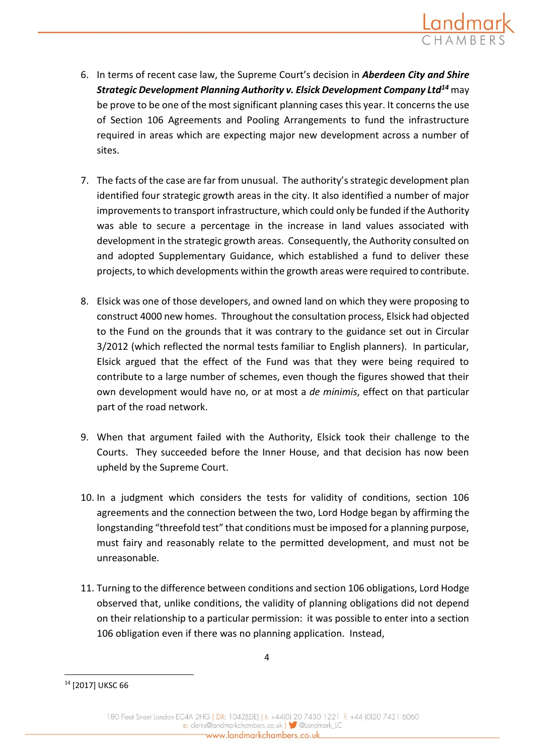

- 6. In terms of recent case law, the Supreme Court's decision in *Aberdeen City and Shire Strategic Development Planning Authority v. Elsick Development Company Ltd<sup>14</sup>* may be prove to be one of the most significant planning cases this year. It concerns the use of Section 106 Agreements and Pooling Arrangements to fund the infrastructure required in areas which are expecting major new development across a number of sites.
- 7. The facts of the case are far from unusual. The authority's strategic development plan identified four strategic growth areas in the city. It also identified a number of major improvements to transport infrastructure, which could only be funded if the Authority was able to secure a percentage in the increase in land values associated with development in the strategic growth areas. Consequently, the Authority consulted on and adopted Supplementary Guidance, which established a fund to deliver these projects, to which developments within the growth areas were required to contribute.
- 8. Elsick was one of those developers, and owned land on which they were proposing to construct 4000 new homes. Throughout the consultation process, Elsick had objected to the Fund on the grounds that it was contrary to the guidance set out in Circular 3/2012 (which reflected the normal tests familiar to English planners). In particular, Elsick argued that the effect of the Fund was that they were being required to contribute to a large number of schemes, even though the figures showed that their own development would have no, or at most a *de minimis*, effect on that particular part of the road network.
- 9. When that argument failed with the Authority, Elsick took their challenge to the Courts. They succeeded before the Inner House, and that decision has now been upheld by the Supreme Court.
- 10. In a judgment which considers the tests for validity of conditions, section 106 agreements and the connection between the two, Lord Hodge began by affirming the longstanding "threefold test" that conditions must be imposed for a planning purpose, must fairy and reasonably relate to the permitted development, and must not be unreasonable.
- 11. Turning to the difference between conditions and section 106 obligations, Lord Hodge observed that, unlike conditions, the validity of planning obligations did not depend on their relationship to a particular permission: it was possible to enter into a section 106 obligation even if there was no planning application. Instead,

<sup>&</sup>lt;sup>14</sup> [2017] UKSC 66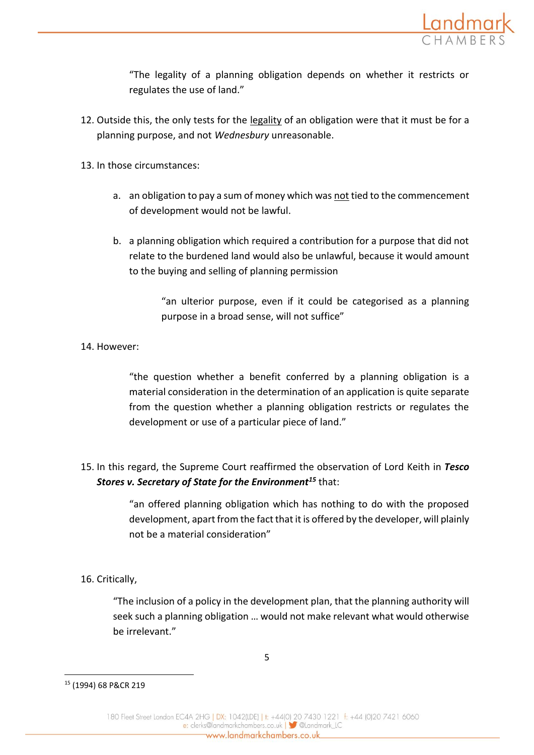

"The legality of a planning obligation depends on whether it restricts or regulates the use of land."

- 12. Outside this, the only tests for the  $\frac{legality}{g}$  of an obligation were that it must be for a planning purpose, and not *Wednesbury* unreasonable.
- 13. In those circumstances:
	- a. an obligation to pay a sum of money which was not tied to the commencement of development would not be lawful.
	- b. a planning obligation which required a contribution for a purpose that did not relate to the burdened land would also be unlawful, because it would amount to the buying and selling of planning permission

"an ulterior purpose, even if it could be categorised as a planning purpose in a broad sense, will not suffice"

## 14. However:

"the question whether a benefit conferred by a planning obligation is a material consideration in the determination of an application is quite separate from the question whether a planning obligation restricts or regulates the development or use of a particular piece of land."

15. In this regard, the Supreme Court reaffirmed the observation of Lord Keith in *Tesco Stores v. Secretary of State for the Environment<sup>15</sup>* that:

> "an offered planning obligation which has nothing to do with the proposed development, apart from the fact that it is offered by the developer, will plainly not be a material consideration"

# 16. Critically,

"The inclusion of a policy in the development plan, that the planning authority will seek such a planning obligation … would not make relevant what would otherwise be irrelevant."

<sup>15</sup> (1994) 68 P&CR 219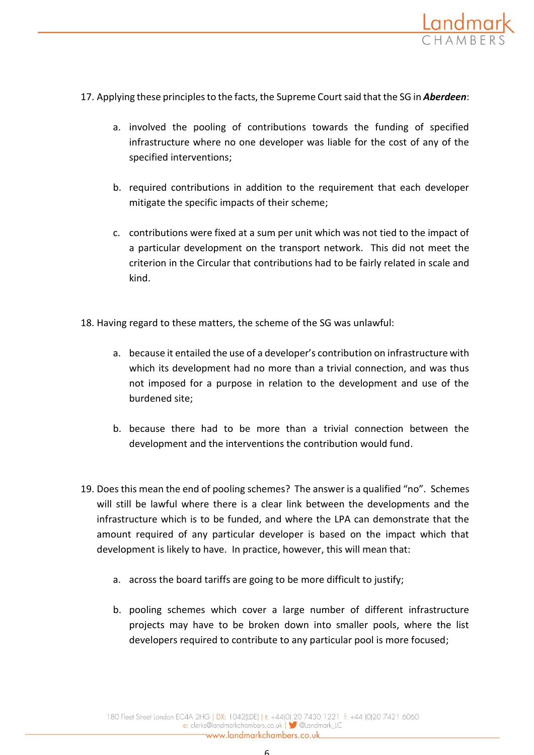

- 17. Applying these principles to the facts, the Supreme Court said that the SG in *Aberdeen*:
	- a. involved the pooling of contributions towards the funding of specified infrastructure where no one developer was liable for the cost of any of the specified interventions;
	- b. required contributions in addition to the requirement that each developer mitigate the specific impacts of their scheme;
	- c. contributions were fixed at a sum per unit which was not tied to the impact of a particular development on the transport network. This did not meet the criterion in the Circular that contributions had to be fairly related in scale and kind.
- 18. Having regard to these matters, the scheme of the SG was unlawful:
	- a. because it entailed the use of a developer's contribution on infrastructure with which its development had no more than a trivial connection, and was thus not imposed for a purpose in relation to the development and use of the burdened site;
	- b. because there had to be more than a trivial connection between the development and the interventions the contribution would fund.
- 19. Does this mean the end of pooling schemes? The answer is a qualified "no". Schemes will still be lawful where there is a clear link between the developments and the infrastructure which is to be funded, and where the LPA can demonstrate that the amount required of any particular developer is based on the impact which that development is likely to have. In practice, however, this will mean that:
	- a. across the board tariffs are going to be more difficult to justify;
	- b. pooling schemes which cover a large number of different infrastructure projects may have to be broken down into smaller pools, where the list developers required to contribute to any particular pool is more focused;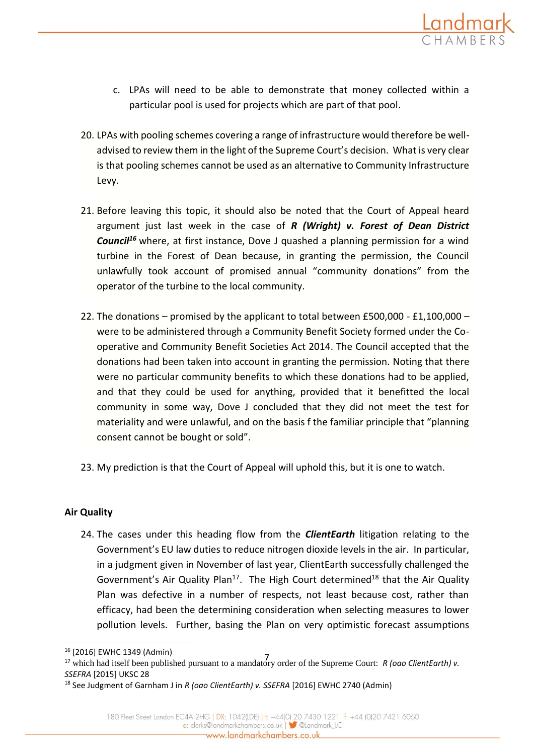

- c. LPAs will need to be able to demonstrate that money collected within a particular pool is used for projects which are part of that pool.
- 20. LPAs with pooling schemes covering a range of infrastructure would therefore be welladvised to review them in the light of the Supreme Court's decision. What is very clear is that pooling schemes cannot be used as an alternative to Community Infrastructure Levy.
- 21. Before leaving this topic, it should also be noted that the Court of Appeal heard argument just last week in the case of *R (Wright) v. Forest of Dean District Council<sup>16</sup>* where, at first instance, Dove J quashed a planning permission for a wind turbine in the Forest of Dean because, in granting the permission, the Council unlawfully took account of promised annual "community donations" from the operator of the turbine to the local community.
- 22. The donations promised by the applicant to total between £500,000 £1,100,000 were to be administered through a Community Benefit Society formed under the Cooperative and Community Benefit Societies Act 2014. The Council accepted that the donations had been taken into account in granting the permission. Noting that there were no particular community benefits to which these donations had to be applied, and that they could be used for anything, provided that it benefitted the local community in some way, Dove J concluded that they did not meet the test for materiality and were unlawful, and on the basis f the familiar principle that "planning consent cannot be bought or sold".
- 23. My prediction is that the Court of Appeal will uphold this, but it is one to watch.

# **Air Quality**

1

24. The cases under this heading flow from the *ClientEarth* litigation relating to the Government's EU law duties to reduce nitrogen dioxide levels in the air. In particular, in a judgment given in November of last year, ClientEarth successfully challenged the Government's Air Quality Plan<sup>17</sup>. The High Court determined<sup>18</sup> that the Air Quality Plan was defective in a number of respects, not least because cost, rather than efficacy, had been the determining consideration when selecting measures to lower pollution levels. Further, basing the Plan on very optimistic forecast assumptions

<sup>16</sup> [2016] EWHC 1349 (Admin)

<sup>7</sup> <sup>17</sup> which had itself been published pursuant to a mandatory order of the Supreme Court: *R (oao ClientEarth) v. SSEFRA* [2015] UKSC 28

<sup>18</sup> See Judgment of Garnham J in *R (oao ClientEarth) v. SSEFRA* [2016] EWHC 2740 (Admin)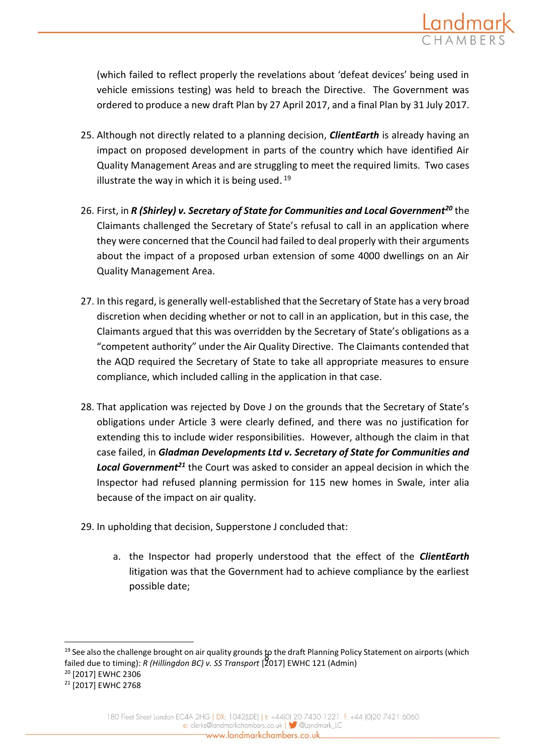

(which failed to reflect properly the revelations about 'defeat devices' being used in vehicle emissions testing) was held to breach the Directive. The Government was ordered to produce a new draft Plan by 27 April 2017, and a final Plan by 31 July 2017.

- 25. Although not directly related to a planning decision, *ClientEarth* is already having an impact on proposed development in parts of the country which have identified Air Quality Management Areas and are struggling to meet the required limits. Two cases illustrate the way in which it is being used.<sup>19</sup>
- 26. First, in *R (Shirley) v. Secretary of State for Communities and Local Government<sup>20</sup>* the Claimants challenged the Secretary of State's refusal to call in an application where they were concerned that the Council had failed to deal properly with their arguments about the impact of a proposed urban extension of some 4000 dwellings on an Air Quality Management Area.
- 27. In this regard, is generally well-established that the Secretary of State has a very broad discretion when deciding whether or not to call in an application, but in this case, the Claimants argued that this was overridden by the Secretary of State's obligations as a "competent authority" under the Air Quality Directive. The Claimants contended that the AQD required the Secretary of State to take all appropriate measures to ensure compliance, which included calling in the application in that case.
- 28. That application was rejected by Dove J on the grounds that the Secretary of State's obligations under Article 3 were clearly defined, and there was no justification for extending this to include wider responsibilities. However, although the claim in that case failed, in *Gladman Developments Ltd v. Secretary of State for Communities and Local Government<sup>21</sup>* the Court was asked to consider an appeal decision in which the Inspector had refused planning permission for 115 new homes in Swale, inter alia because of the impact on air quality.
- 29. In upholding that decision, Supperstone J concluded that:
	- a. the Inspector had properly understood that the effect of the *ClientEarth* litigation was that the Government had to achieve compliance by the earliest possible date;

<sup>8</sup> failed due to timing): *R (Hillingdon BC) v. SS Transport* [2017] EWHC 121 (Admin) <sup>19</sup> See also the challenge brought on air quality grounds to the draft Planning Policy Statement on airports (which <sup>20</sup> [2017] EWHC 2306

<sup>21</sup> [2017] EWHC 2768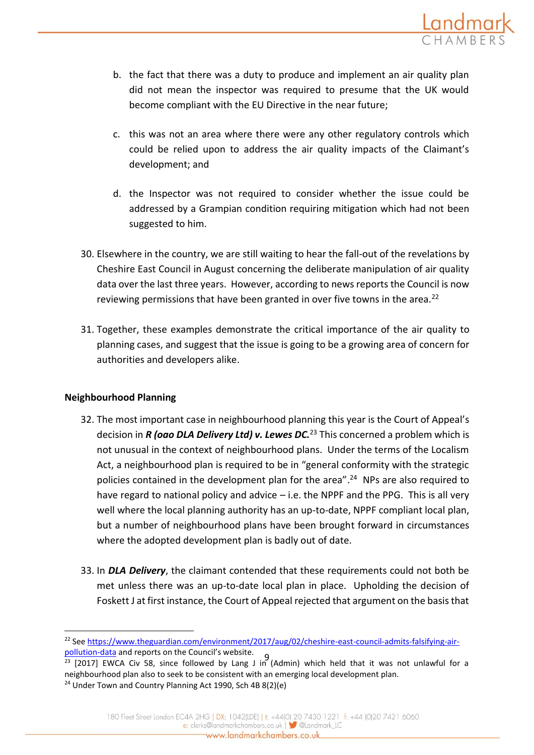

- b. the fact that there was a duty to produce and implement an air quality plan did not mean the inspector was required to presume that the UK would become compliant with the EU Directive in the near future;
- c. this was not an area where there were any other regulatory controls which could be relied upon to address the air quality impacts of the Claimant's development; and
- d. the Inspector was not required to consider whether the issue could be addressed by a Grampian condition requiring mitigation which had not been suggested to him.
- 30. Elsewhere in the country, we are still waiting to hear the fall-out of the revelations by Cheshire East Council in August concerning the deliberate manipulation of air quality data over the last three years. However, according to news reports the Council is now reviewing permissions that have been granted in over five towns in the area.<sup>22</sup>
- 31. Together, these examples demonstrate the critical importance of the air quality to planning cases, and suggest that the issue is going to be a growing area of concern for authorities and developers alike.

# **Neighbourhood Planning**

- 32. The most important case in neighbourhood planning this year is the Court of Appeal's decision in *R (oao DLA Delivery Ltd) v. Lewes DC.*<sup>23</sup> This concerned a problem which is not unusual in the context of neighbourhood plans. Under the terms of the Localism Act, a neighbourhood plan is required to be in "general conformity with the strategic policies contained in the development plan for the area".<sup>24</sup> NPs are also required to have regard to national policy and advice – i.e. the NPPF and the PPG. This is all very well where the local planning authority has an up-to-date, NPPF compliant local plan, but a number of neighbourhood plans have been brought forward in circumstances where the adopted development plan is badly out of date.
- 33. In *DLA Delivery*, the claimant contended that these requirements could not both be met unless there was an up-to-date local plan in place. Upholding the decision of Foskett J at first instance, the Court of Appeal rejected that argument on the basis that

[pollution-data](https://www.theguardian.com/environment/2017/aug/02/cheshire-east-council-admits-falsifying-air-pollution-data)</u> and reports on the Council's website.<br>23 J2017) EWCA, Given Salace followed by Jane Juic <sup>22</sup> Se[e https://www.theguardian.com/environment/2017/aug/02/cheshire-east-council-admits-falsifying-air-](https://www.theguardian.com/environment/2017/aug/02/cheshire-east-council-admits-falsifying-air-pollution-data)

 $^{23}$  [2017] EWCA Civ 58, since followed by Lang J in (Admin) which held that it was not unlawful for a neighbourhood plan also to seek to be consistent with an emerging local development plan. <sup>24</sup> Under Town and Country Planning Act 1990, Sch 4B 8(2)(e)

<sup>180</sup> Fleet Street London EC4A 2HG | DX: 1042(LDE) | t: +44(0) 20 7430 1221 f: +44 (0)20 7421 6060 e: clerks@landmarkchambers.co.uk | 3 @Landmark\_LC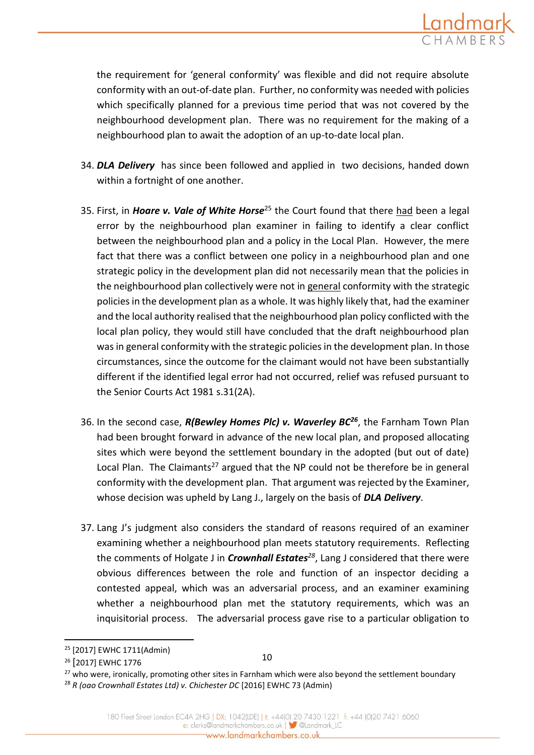

the requirement for 'general conformity' was flexible and did not require absolute conformity with an out-of-date plan. Further, no conformity was needed with policies which specifically planned for a previous time period that was not covered by the neighbourhood development plan. There was no requirement for the making of a neighbourhood plan to await the adoption of an up-to-date local plan.

- 34. *DLA Delivery* has since been followed and applied in two decisions, handed down within a fortnight of one another.
- 35. First, in *Hoare v. Vale of White Horse*<sup>25</sup> the Court found that there had been a legal error by the neighbourhood plan examiner in failing to identify a clear conflict between the neighbourhood plan and a policy in the Local Plan. However, the mere fact that there was a conflict between one policy in a neighbourhood plan and one strategic policy in the development plan did not necessarily mean that the policies in the neighbourhood plan collectively were not in general conformity with the strategic policies in the development plan as a whole. It was highly likely that, had the examiner and the local authority realised that the neighbourhood plan policy conflicted with the local plan policy, they would still have concluded that the draft neighbourhood plan was in general conformity with the strategic policies in the development plan. In those circumstances, since the outcome for the claimant would not have been substantially different if the identified legal error had not occurred, relief was refused pursuant to the [Senior Courts Act 1981 s.31\(2A\).](https://login.westlaw.co.uk/maf/wluk/app/document?src=doc&linktype=ref&context=5&crumb-action=replace&docguid=I0C55BFB0E44A11DA8D70A0E70A78ED65)
- 36. In the second case, *R(Bewley Homes Plc) v. Waverley BC<sup>26</sup>*, the Farnham Town Plan had been brought forward in advance of the new local plan, and proposed allocating sites which were beyond the settlement boundary in the adopted (but out of date) Local Plan. The Claimants<sup>27</sup> argued that the NP could not be therefore be in general conformity with the development plan. That argument was rejected by the Examiner, whose decision was upheld by Lang J., largely on the basis of *DLA Delivery*.
- 37. Lang J's judgment also considers the standard of reasons required of an examiner examining whether a neighbourhood plan meets statutory requirements. Reflecting the comments of Holgate J in *Crownhall Estates<sup>28</sup>*, Lang J considered that there were obvious differences between the role and function of an inspector deciding a contested appeal, which was an adversarial process, and an examiner examining whether a neighbourhood plan met the statutory requirements, which was an inquisitorial process. The adversarial process gave rise to a particular obligation to

<sup>25</sup> [2017] EWHC 1711(Admin)

<sup>&</sup>lt;sup>26</sup> [2017] EWHC 1776

<sup>10</sup>

<sup>&</sup>lt;sup>27</sup> who were, ironically, promoting other sites in Farnham which were also beyond the settlement boundary <sup>28</sup> *R (oao Crownhall Estates Ltd) v. Chichester DC* [2016] EWHC 73 (Admin)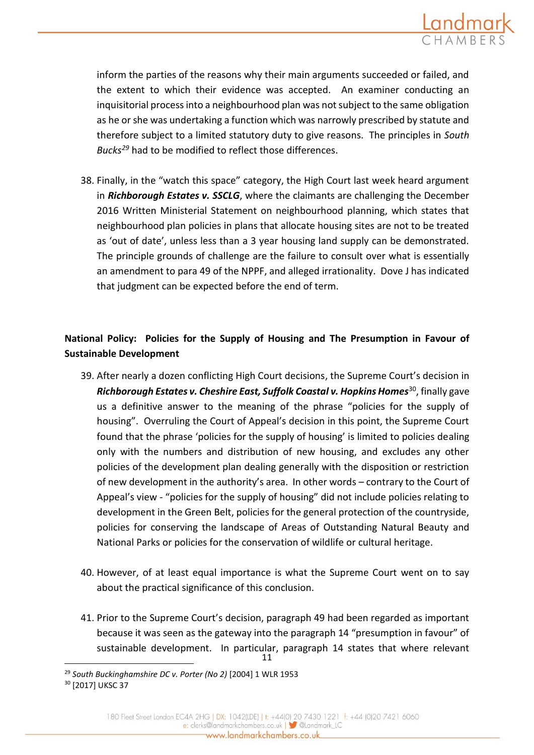

inform the parties of the reasons why their main arguments succeeded or failed, and the extent to which their evidence was accepted. An examiner conducting an inquisitorial process into a neighbourhood plan was not subject to the same obligation as he or she was undertaking a function which was narrowly prescribed by statute and therefore subject to a limited statutory duty to give reasons. The principles in *South Bucks<sup>29</sup>* had to be modified to reflect those differences.

38. Finally, in the "watch this space" category, the High Court last week heard argument in *Richborough Estates v. SSCLG*, where the claimants are challenging the December 2016 Written Ministerial Statement on neighbourhood planning, which states that neighbourhood plan policies in plans that allocate housing sites are not to be treated as 'out of date', unless less than a 3 year housing land supply can be demonstrated. The principle grounds of challenge are the failure to consult over what is essentially an amendment to para 49 of the NPPF, and alleged irrationality. Dove J has indicated that judgment can be expected before the end of term.

# **National Policy: Policies for the Supply of Housing and The Presumption in Favour of Sustainable Development**

- 39. After nearly a dozen conflicting High Court decisions, the Supreme Court's decision in *Richborough Estates v. Cheshire East, Suffolk Coastal v. Hopkins Homes*<sup>30</sup>, finally gave us a definitive answer to the meaning of the phrase "policies for the supply of housing". Overruling the Court of Appeal's decision in this point, the Supreme Court found that the phrase 'policies for the supply of housing' is limited to policies dealing only with the numbers and distribution of new housing, and excludes any other policies of the development plan dealing generally with the disposition or restriction of new development in the authority's area. In other words – contrary to the Court of Appeal's view - "policies for the supply of housing" did not include policies relating to development in the Green Belt, policies for the general protection of the countryside, policies for conserving the landscape of Areas of Outstanding Natural Beauty and National Parks or policies for the conservation of wildlife or cultural heritage.
- 40. However, of at least equal importance is what the Supreme Court went on to say about the practical significance of this conclusion.
- 11 41. Prior to the Supreme Court's decision, paragraph 49 had been regarded as important because it was seen as the gateway into the paragraph 14 "presumption in favour" of sustainable development. In particular, paragraph 14 states that where relevant

<sup>29</sup> *South Buckinghamshire DC v. Porter (No 2)* [2004] 1 WLR 1953

<sup>&</sup>lt;sup>30</sup> [2017] UKSC 37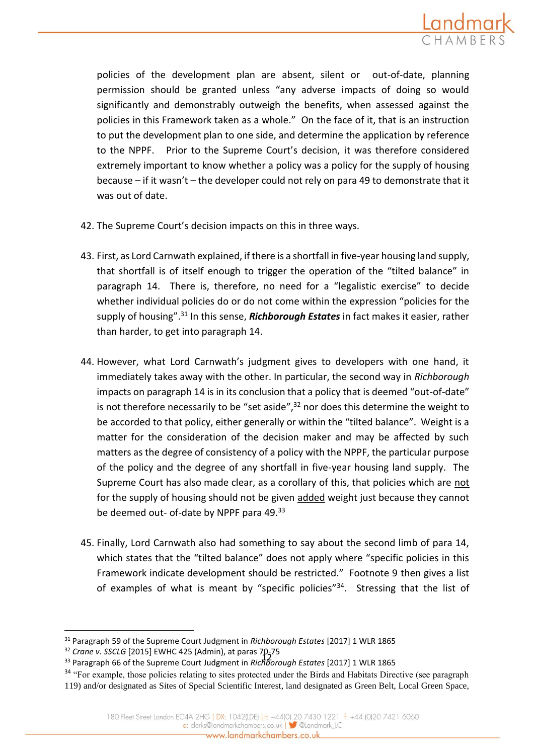

policies of the development plan are absent, silent or out-of-date, planning permission should be granted unless "any adverse impacts of doing so would significantly and demonstrably outweigh the benefits, when assessed against the policies in this Framework taken as a whole." On the face of it, that is an instruction to put the development plan to one side, and determine the application by reference to the NPPF. Prior to the Supreme Court's decision, it was therefore considered extremely important to know whether a policy was a policy for the supply of housing because – if it wasn't – the developer could not rely on para 49 to demonstrate that it was out of date.

- 42. The Supreme Court's decision impacts on this in three ways.
- 43. First, as Lord Carnwath explained, if there is a shortfall in five-year housing land supply, that shortfall is of itself enough to trigger the operation of the "tilted balance" in paragraph 14. There is, therefore, no need for a "legalistic exercise" to decide whether individual policies do or do not come within the expression "policies for the supply of housing". <sup>31</sup> In this sense, *Richborough Estates* in fact makes it easier, rather than harder, to get into paragraph 14.
- 44. However, what Lord Carnwath's judgment gives to developers with one hand, it immediately takes away with the other. In particular, the second way in *Richborough*  impacts on paragraph 14 is in its conclusion that a policy that is deemed "out-of-date" is not therefore necessarily to be "set aside",<sup>32</sup> nor does this determine the weight to be accorded to that policy, either generally or within the "tilted balance". Weight is a matter for the consideration of the decision maker and may be affected by such matters as the degree of consistency of a policy with the NPPF, the particular purpose of the policy and the degree of any shortfall in five-year housing land supply. The Supreme Court has also made clear, as a corollary of this, that policies which are not for the supply of housing should not be given added weight just because they cannot be deemed out- of-date by NPPF para 49.33
- 45. Finally, Lord Carnwath also had something to say about the second limb of para 14, which states that the "tilted balance" does not apply where "specific policies in this Framework indicate development should be restricted." Footnote 9 then gives a list of examples of what is meant by "specific policies"<sup>34</sup>. Stressing that the list of

 $\overline{a}$ 

<sup>34</sup> "For example, those policies relating to sites protected under the Birds and Habitats Directive (see paragraph 119) and/or designated as Sites of Special Scientific Interest, land designated as Green Belt, Local Green Space,

<sup>31</sup> Paragraph 59 of the Supreme Court Judgment in *Richborough Estates* [2017] 1 WLR 1865

<sup>&</sup>lt;sup>32</sup> *Crane v. SSCLG* [2015] EWHC 425 (Admin), at paras 70-75

<sup>12</sup> <sup>33</sup> Paragraph 66 of the Supreme Court Judgment in *Richborough Estates* [2017] 1 WLR 1865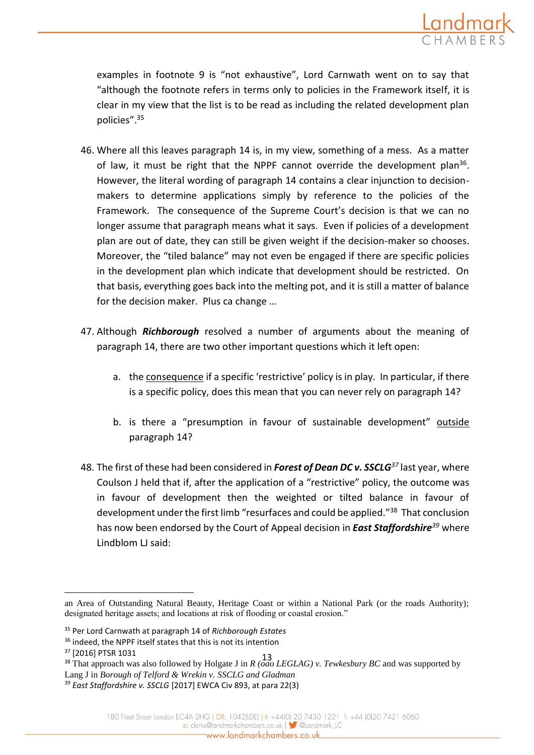![](_page_12_Picture_0.jpeg)

examples in footnote 9 is "not exhaustive", Lord Carnwath went on to say that "although the footnote refers in terms only to policies in the Framework itself, it is clear in my view that the list is to be read as including the related development plan policies".<sup>35</sup>

- 46. Where all this leaves paragraph 14 is, in my view, something of a mess. As a matter of law, it must be right that the NPPF cannot override the development plan<sup>36</sup>. However, the literal wording of paragraph 14 contains a clear injunction to decisionmakers to determine applications simply by reference to the policies of the Framework. The consequence of the Supreme Court's decision is that we can no longer assume that paragraph means what it says. Even if policies of a development plan are out of date, they can still be given weight if the decision-maker so chooses. Moreover, the "tiled balance" may not even be engaged if there are specific policies in the development plan which indicate that development should be restricted. On that basis, everything goes back into the melting pot, and it is still a matter of balance for the decision maker. Plus ca change …
- 47. Although *Richborough* resolved a number of arguments about the meaning of paragraph 14, there are two other important questions which it left open:
	- a. the consequence if a specific 'restrictive' policy is in play. In particular, if there is a specific policy, does this mean that you can never rely on paragraph 14?
	- b. is there a "presumption in favour of sustainable development" outside paragraph 14?
- 48. The first of these had been considered in *Forest of Dean DC v. SSCLG<sup>37</sup>* last year, where Coulson J held that if, after the application of a "restrictive" policy, the outcome was in favour of development then the weighted or tilted balance in favour of development under the first limb "resurfaces and could be applied."<sup>38</sup> That conclusion has now been endorsed by the Court of Appeal decision in *East Staffordshire<sup>39</sup>* where Lindblom LJ said:

 $\overline{a}$ 

an Area of Outstanding Natural Beauty, Heritage Coast or within a National Park (or the roads Authority); designated heritage assets; and locations at risk of flooding or coastal erosion."

<sup>35</sup> Per Lord Carnwath at paragraph 14 of *Richborough Estates*

<sup>&</sup>lt;sup>36</sup> indeed, the NPPF itself states that this is not its intention

<sup>37</sup> [2016] PTSR 1031

<sup>13</sup> <sup>38</sup> That approach was also followed by Holgate J in *R (oao LEGLAG) v. Tewkesbury BC* and was supported by Lang J in *Borough of Telford & Wrekin v. SSCLG and Gladman*

<sup>39</sup> *East Staffordshire v. SSCLG* [2017] EWCA Civ 893, at para 22(3)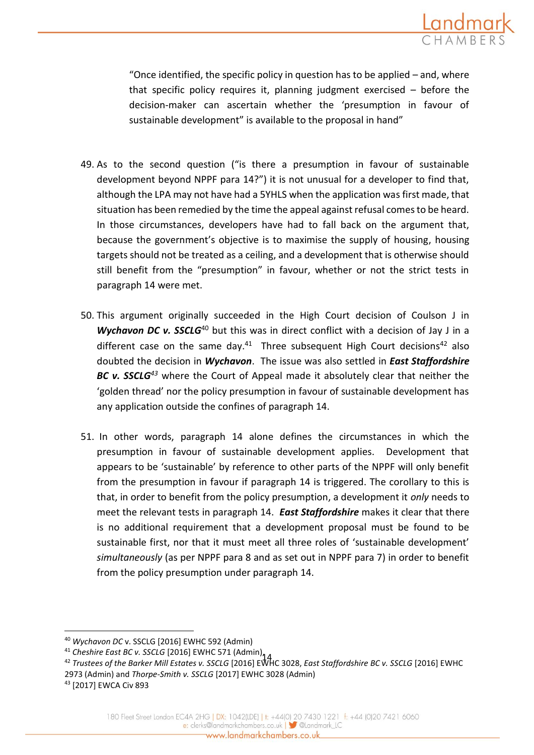![](_page_13_Picture_0.jpeg)

"Once identified, the specific policy in question has to be applied – and, where that specific policy requires it, planning judgment exercised – before the decision-maker can ascertain whether the 'presumption in favour of sustainable development" is available to the proposal in hand"

- 49. As to the second question ("is there a presumption in favour of sustainable development beyond NPPF para 14?") it is not unusual for a developer to find that, although the LPA may not have had a 5YHLS when the application was first made, that situation has been remedied by the time the appeal against refusal comes to be heard. In those circumstances, developers have had to fall back on the argument that, because the government's objective is to maximise the supply of housing, housing targets should not be treated as a ceiling, and a development that is otherwise should still benefit from the "presumption" in favour, whether or not the strict tests in paragraph 14 were met.
- 50. This argument originally succeeded in the High Court decision of Coulson J in *Wychavon DC v. SSCLG<sup>40</sup>* but this was in direct conflict with a decision of Jay J in a different case on the same day. $41$  Three subsequent High Court decisions $42$  also doubted the decision in *Wychavon*. The issue was also settled in *East Staffordshire BC v. SSCLG<sup>43</sup>* where the Court of Appeal made it absolutely clear that neither the 'golden thread' nor the policy presumption in favour of sustainable development has any application outside the confines of paragraph 14.
- 51. In other words, paragraph 14 alone defines the circumstances in which the presumption in favour of sustainable development applies. Development that appears to be 'sustainable' by reference to other parts of the NPPF will only benefit from the presumption in favour if paragraph 14 is triggered. The corollary to this is that, in order to benefit from the policy presumption, a development it *only* needs to meet the relevant tests in paragraph 14. *East Staffordshire* makes it clear that there is no additional requirement that a development proposal must be found to be sustainable first, nor that it must meet all three roles of 'sustainable development' *simultaneously* (as per NPPF para 8 and as set out in NPPF para 7) in order to benefit from the policy presumption under paragraph 14.

<sup>43</sup> [2017] EWCA Civ 893

<sup>40</sup> *Wychavon DC* v. SSCLG [2016] EWHC 592 (Admin)

<sup>&</sup>lt;sup>41</sup> Cheshire East BC v. SSCLG [2016] EWHC 571 (Admin), 1<br><sup>42</sup> Trustage of the Barker Mill Estates u. SSCLG [2016] FMI

<sup>42</sup> *Trustees of the Barker Mill Estates v. SSCLG* [2016] EWHC 3028, *East Staffordshire BC v. SSCLG* [2016] EWHC 2973 (Admin) and *Thorpe-Smith v. SSCLG* [2017] EWHC 3028 (Admin)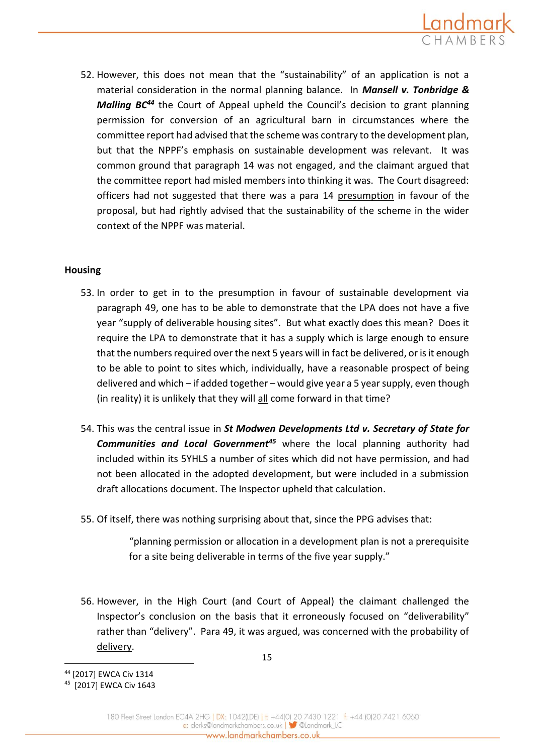![](_page_14_Picture_0.jpeg)

52. However, this does not mean that the "sustainability" of an application is not a material consideration in the normal planning balance. In *Mansell v. Tonbridge & Malling BC<sup>44</sup>* the Court of Appeal upheld the Council's decision to grant planning permission for conversion of an agricultural barn in circumstances where the committee report had advised that the scheme was contrary to the development plan, but that the NPPF's emphasis on sustainable development was relevant. It was common ground that paragraph 14 was not engaged, and the claimant argued that the committee report had misled members into thinking it was. The Court disagreed: officers had not suggested that there was a para 14 presumption in favour of the proposal, but had rightly advised that the sustainability of the scheme in the wider context of the NPPF was material.

## **Housing**

- 53. In order to get in to the presumption in favour of sustainable development via paragraph 49, one has to be able to demonstrate that the LPA does not have a five year "supply of deliverable housing sites". But what exactly does this mean? Does it require the LPA to demonstrate that it has a supply which is large enough to ensure that the numbers required over the next 5 years will in fact be delivered, or is it enough to be able to point to sites which, individually, have a reasonable prospect of being delivered and which – if added together – would give year a 5 year supply, even though (in reality) it is unlikely that they will all come forward in that time?
- 54. This was the central issue in *St Modwen Developments Ltd v. Secretary of State for Communities and Local Government<sup>45</sup>* where the local planning authority had included within its 5YHLS a number of sites which did not have permission, and had not been allocated in the adopted development, but were included in a submission draft allocations document. The Inspector upheld that calculation.
- 55. Of itself, there was nothing surprising about that, since the PPG advises that:

"planning permission or allocation in a development plan is not a prerequisite for a site being deliverable in terms of the five year supply."

56. However, in the High Court (and Court of Appeal) the claimant challenged the Inspector's conclusion on the basis that it erroneously focused on "deliverability" rather than "delivery". Para 49, it was argued, was concerned with the probability of delivery.

<sup>44</sup> [2017] EWCA Civ 1314

<sup>45</sup> [2017] EWCA Civ 1643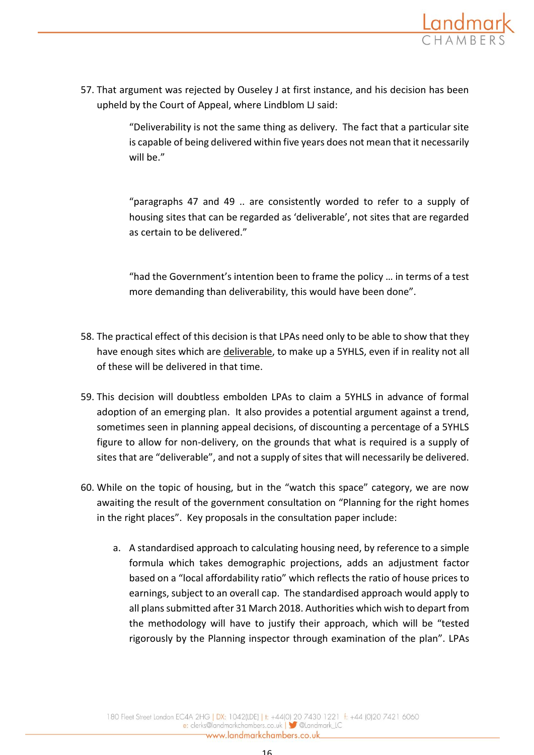![](_page_15_Picture_0.jpeg)

57. That argument was rejected by Ouseley J at first instance, and his decision has been upheld by the Court of Appeal, where Lindblom LJ said:

> "Deliverability is not the same thing as delivery. The fact that a particular site is capable of being delivered within five years does not mean that it necessarily will be."

> "paragraphs 47 and 49 .. are consistently worded to refer to a supply of housing sites that can be regarded as 'deliverable', not sites that are regarded as certain to be delivered."

> "had the Government's intention been to frame the policy … in terms of a test more demanding than deliverability, this would have been done".

- 58. The practical effect of this decision is that LPAs need only to be able to show that they have enough sites which are deliverable, to make up a 5YHLS, even if in reality not all of these will be delivered in that time.
- 59. This decision will doubtless embolden LPAs to claim a 5YHLS in advance of formal adoption of an emerging plan. It also provides a potential argument against a trend, sometimes seen in planning appeal decisions, of discounting a percentage of a 5YHLS figure to allow for non-delivery, on the grounds that what is required is a supply of sites that are "deliverable", and not a supply of sites that will necessarily be delivered.
- 60. While on the topic of housing, but in the "watch this space" category, we are now awaiting the result of the government consultation on "Planning for the right homes in the right places". Key proposals in the consultation paper include:
	- a. A standardised approach to calculating housing need, by reference to a simple formula which takes demographic projections, adds an adjustment factor based on a "local affordability ratio" which reflects the ratio of house prices to earnings, subject to an overall cap. The standardised approach would apply to all plans submitted after 31 March 2018. Authorities which wish to depart from the methodology will have to justify their approach, which will be "tested rigorously by the Planning inspector through examination of the plan". LPAs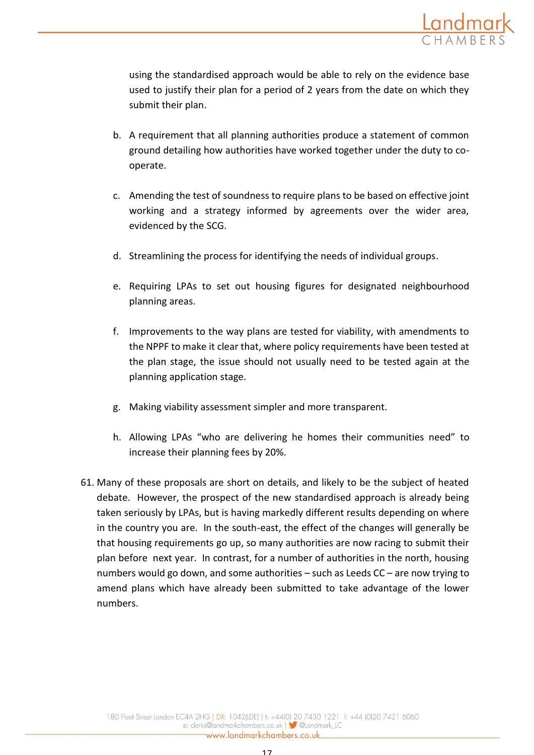![](_page_16_Picture_0.jpeg)

using the standardised approach would be able to rely on the evidence base used to justify their plan for a period of 2 years from the date on which they submit their plan.

- b. A requirement that all planning authorities produce a statement of common ground detailing how authorities have worked together under the duty to cooperate.
- c. Amending the test of soundness to require plans to be based on effective joint working and a strategy informed by agreements over the wider area, evidenced by the SCG.
- d. Streamlining the process for identifying the needs of individual groups.
- e. Requiring LPAs to set out housing figures for designated neighbourhood planning areas.
- f. Improvements to the way plans are tested for viability, with amendments to the NPPF to make it clear that, where policy requirements have been tested at the plan stage, the issue should not usually need to be tested again at the planning application stage.
- g. Making viability assessment simpler and more transparent.
- h. Allowing LPAs "who are delivering he homes their communities need" to increase their planning fees by 20%.
- 61. Many of these proposals are short on details, and likely to be the subject of heated debate. However, the prospect of the new standardised approach is already being taken seriously by LPAs, but is having markedly different results depending on where in the country you are. In the south-east, the effect of the changes will generally be that housing requirements go up, so many authorities are now racing to submit their plan before next year. In contrast, for a number of authorities in the north, housing numbers would go down, and some authorities – such as Leeds CC – are now trying to amend plans which have already been submitted to take advantage of the lower numbers.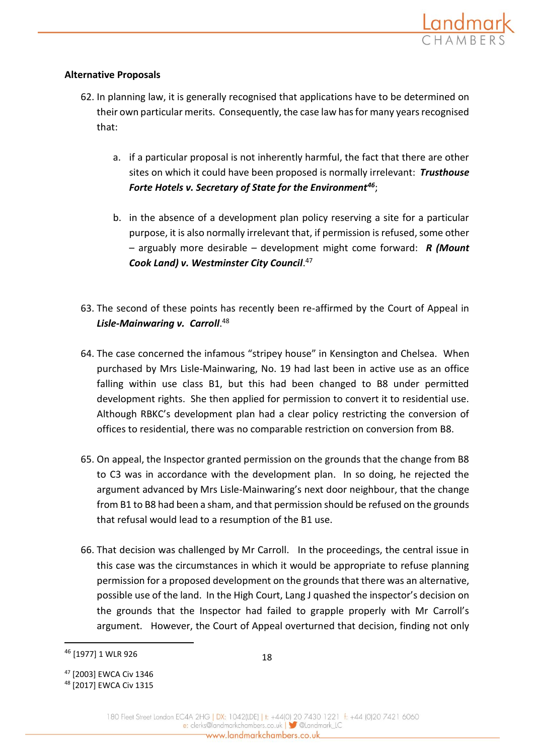## **Alternative Proposals**

- 62. In planning law, it is generally recognised that applications have to be determined on their own particular merits. Consequently, the case law has for many years recognised that:
	- a. if a particular proposal is not inherently harmful, the fact that there are other sites on which it could have been proposed is normally irrelevant: *Trusthouse Forte Hotels v. Secretary of State for the Environment<sup>46</sup>*;
	- b. in the absence of a development plan policy reserving a site for a particular purpose, it is also normally irrelevant that, if permission is refused, some other – arguably more desirable – development might come forward: *R (Mount Cook Land) v. Westminster City Council*. 47
- 63. The second of these points has recently been re-affirmed by the Court of Appeal in *Lisle-Mainwaring v. Carroll*. 48
- 64. The case concerned the infamous "stripey house" in Kensington and Chelsea.When purchased by Mrs Lisle-Mainwaring, No. 19 had last been in active use as an office falling within use class B1, but this had been changed to B8 under permitted development rights. She then applied for permission to convert it to residential use. Although RBKC's development plan had a clear policy restricting the conversion of offices to residential, there was no comparable restriction on conversion from B8.
- 65. On appeal, the Inspector granted permission on the grounds that the change from B8 to C3 was in accordance with the development plan. In so doing, he rejected the argument advanced by Mrs Lisle-Mainwaring's next door neighbour, that the change from B1 to B8 had been a sham, and that permission should be refused on the grounds that refusal would lead to a resumption of the B1 use.
- 66. That decision was challenged by Mr Carroll. In the proceedings, the central issue in this case was the circumstances in which it would be appropriate to refuse planning permission for a proposed development on the grounds that there was an alternative, possible use of the land. In the High Court, Lang J quashed the inspector's decision on the grounds that the Inspector had failed to grapple properly with Mr Carroll's argument. However, the Court of Appeal overturned that decision, finding not only

<sup>46</sup> [1977] 1 WLR 926

<sup>47</sup> [2003] EWCA Civ 1346

<sup>48</sup> [2017] EWCA Civ 1315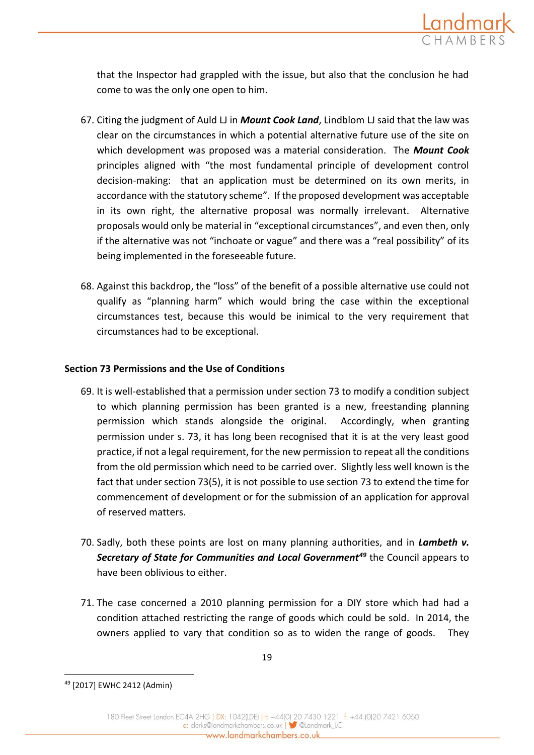![](_page_18_Picture_0.jpeg)

that the Inspector had grappled with the issue, but also that the conclusion he had come to was the only one open to him.

- 67. Citing the judgment of Auld LJ in *Mount Cook Land*, Lindblom LJ said that the law was clear on the circumstances in which a potential alternative future use of the site on which development was proposed was a material consideration. The *Mount Cook* principles aligned with "the most fundamental principle of development control decision-making: that an application must be determined on its own merits, in accordance with the statutory scheme". If the proposed development was acceptable in its own right, the alternative proposal was normally irrelevant. Alternative proposals would only be material in "exceptional circumstances", and even then, only if the alternative was not "inchoate or vague" and there was a "real possibility" of its being implemented in the foreseeable future.
- 68. Against this backdrop, the "loss" of the benefit of a possible alternative use could not qualify as "planning harm" which would bring the case within the exceptional circumstances test, because this would be inimical to the very requirement that circumstances had to be exceptional.

## **Section 73 Permissions and the Use of Conditions**

- 69. It is well-established that a permission under section 73 to modify a condition subject to which planning permission has been granted is a new, freestanding planning permission which stands alongside the original. Accordingly, when granting permission under s. 73, it has long been recognised that it is at the very least good practice, if not a legal requirement, for the new permission to repeat all the conditions from the old permission which need to be carried over. Slightly less well known is the fact that under section 73(5), it is not possible to use section 73 to extend the time for commencement of development or for the submission of an application for approval of reserved matters.
- 70. Sadly, both these points are lost on many planning authorities, and in *Lambeth v. Secretary of State for Communities and Local Government<sup>49</sup>* the Council appears to have been oblivious to either.
- 71. The case concerned a 2010 planning permission for a DIY store which had had a condition attached restricting the range of goods which could be sold. In 2014, the owners applied to vary that condition so as to widen the range of goods. They

<sup>49</sup> [2017] EWHC 2412 (Admin)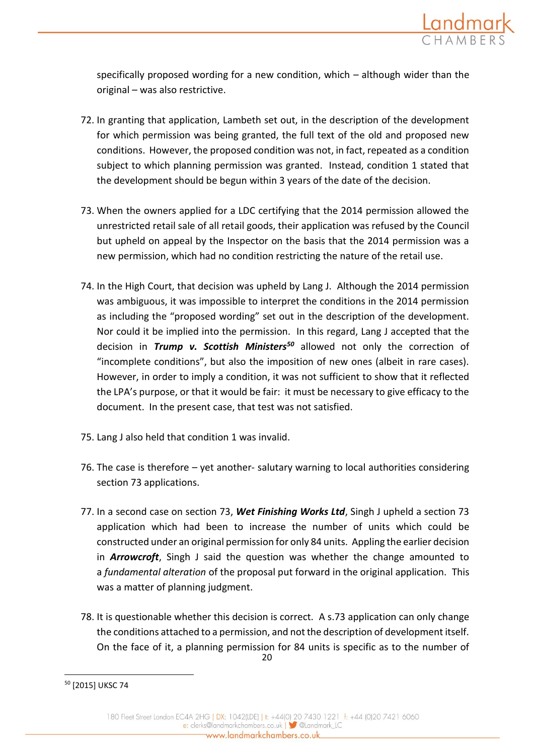![](_page_19_Picture_0.jpeg)

specifically proposed wording for a new condition, which – although wider than the original – was also restrictive.

- 72. In granting that application, Lambeth set out, in the description of the development for which permission was being granted, the full text of the old and proposed new conditions. However, the proposed condition was not, in fact, repeated as a condition subject to which planning permission was granted. Instead, condition 1 stated that the development should be begun within 3 years of the date of the decision.
- 73. When the owners applied for a LDC certifying that the 2014 permission allowed the unrestricted retail sale of all retail goods, their application was refused by the Council but upheld on appeal by the Inspector on the basis that the 2014 permission was a new permission, which had no condition restricting the nature of the retail use.
- 74. In the High Court, that decision was upheld by Lang J. Although the 2014 permission was ambiguous, it was impossible to interpret the conditions in the 2014 permission as including the "proposed wording" set out in the description of the development. Nor could it be implied into the permission. In this regard, Lang J accepted that the decision in *Trump v. Scottish Ministers<sup>50</sup>* allowed not only the correction of "incomplete conditions", but also the imposition of new ones (albeit in rare cases). However, in order to imply a condition, it was not sufficient to show that it reflected the LPA's purpose, or that it would be fair: it must be necessary to give efficacy to the document. In the present case, that test was not satisfied.
- 75. Lang J also held that condition 1 was invalid.
- 76. The case is therefore yet another- salutary warning to local authorities considering section 73 applications.
- 77. In a second case on section 73, *Wet Finishing Works Ltd*, Singh J upheld a section 73 application which had been to increase the number of units which could be constructed under an original permission for only 84 units. Appling the earlier decision in *Arrowcroft*, Singh J said the question was whether the change amounted to a *fundamental alteration* of the proposal put forward in the original application. This was a matter of planning judgment.
- 20 78. It is questionable whether this decision is correct. A s.73 application can only change the conditions attached to a permission, and not the description of development itself. On the face of it, a planning permission for 84 units is specific as to the number of

<sup>50</sup> [2015] UKSC 74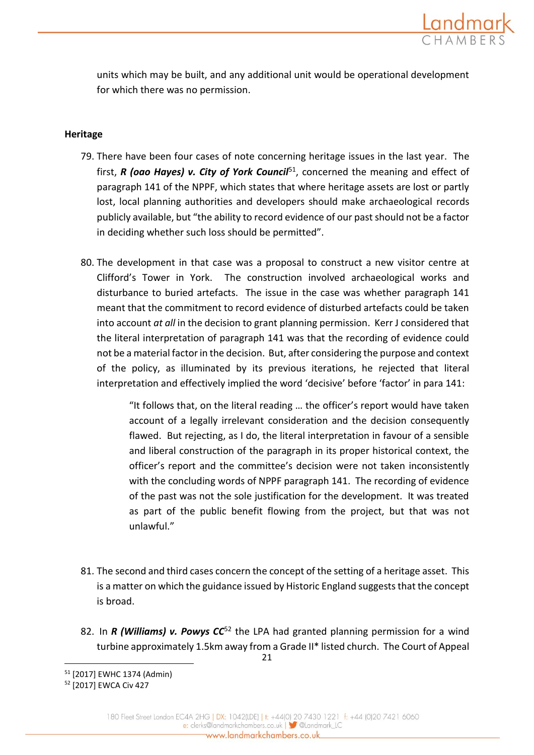![](_page_20_Picture_0.jpeg)

units which may be built, and any additional unit would be operational development for which there was no permission.

# **Heritage**

- 79. There have been four cases of note concerning heritage issues in the last year. The first, *R* (oao Hayes) v. City of York Council<sup>51</sup>, concerned the meaning and effect of paragraph 141 of the NPPF, which states that where heritage assets are lost or partly lost, local planning authorities and developers should make archaeological records publicly available, but "the ability to record evidence of our past should not be a factor in deciding whether such loss should be permitted".
- 80. The development in that case was a proposal to construct a new visitor centre at Clifford's Tower in York. The construction involved archaeological works and disturbance to buried artefacts. The issue in the case was whether paragraph 141 meant that the commitment to record evidence of disturbed artefacts could be taken into account *at all* in the decision to grant planning permission. Kerr J considered that the literal interpretation of paragraph 141 was that the recording of evidence could not be a material factor in the decision. But, after considering the purpose and context of the policy, as illuminated by its previous iterations, he rejected that literal interpretation and effectively implied the word 'decisive' before 'factor' in para 141:

"It follows that, on the literal reading … the officer's report would have taken account of a legally irrelevant consideration and the decision consequently flawed. But rejecting, as I do, the literal interpretation in favour of a sensible and liberal construction of the paragraph in its proper historical context, the officer's report and the committee's decision were not taken inconsistently with the concluding words of NPPF paragraph 141. The recording of evidence of the past was not the sole justification for the development. It was treated as part of the public benefit flowing from the project, but that was not unlawful."

- 81. The second and third cases concern the concept of the setting of a heritage asset. This is a matter on which the guidance issued by Historic England suggests that the concept is broad.
- 21 82. In *R (Williams) v. Powys CC*<sup>52</sup> the LPA had granted planning permission for a wind turbine approximately 1.5km away from a Grade II\* listed church. The Court of Appeal

<sup>1</sup> <sup>51</sup> [2017] EWHC 1374 (Admin)

<sup>52</sup> [2017] EWCA Civ 427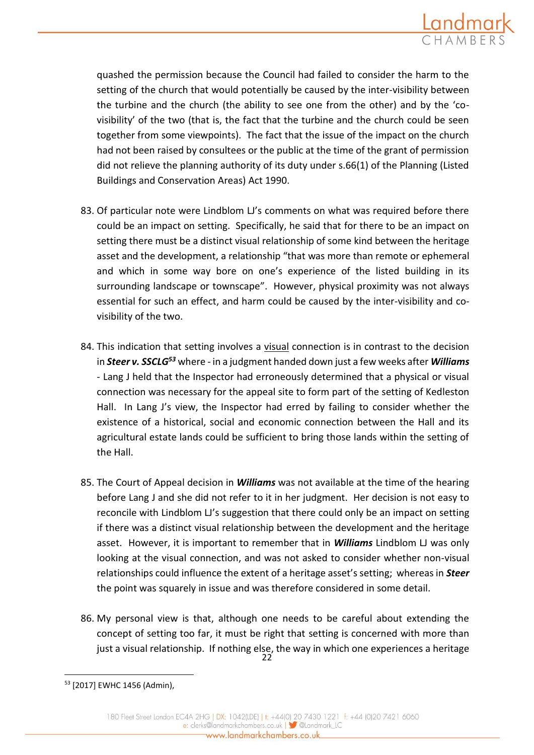![](_page_21_Picture_0.jpeg)

quashed the permission because the Council had failed to consider the harm to the setting of the church that would potentially be caused by the inter-visibility between the turbine and the church (the ability to see one from the other) and by the 'covisibility' of the two (that is, the fact that the turbine and the church could be seen together from some viewpoints). The fact that the issue of the impact on the church had not been raised by consultees or the public at the time of the grant of permission did not relieve the planning authority of its duty under s.66(1) of the Planning (Listed Buildings and Conservation Areas) Act 1990.

- 83. Of particular note were Lindblom LJ's comments on what was required before there could be an impact on setting. Specifically, he said that for there to be an impact on setting there must be a distinct visual relationship of some kind between the heritage asset and the development, a relationship "that was more than remote or ephemeral and which in some way bore on one's experience of the listed building in its surrounding landscape or townscape". However, physical proximity was not always essential for such an effect, and harm could be caused by the inter-visibility and covisibility of the two.
- 84. This indication that setting involves a visual connection is in contrast to the decision in *Steer v. SSCLG<sup>53</sup>* where - in a judgment handed down just a few weeks after *Williams* - Lang J held that the Inspector had erroneously determined that a physical or visual connection was necessary for the appeal site to form part of the setting of Kedleston Hall. In Lang J's view, the Inspector had erred by failing to consider whether the existence of a historical, social and economic connection between the Hall and its agricultural estate lands could be sufficient to bring those lands within the setting of the Hall.
- 85. The Court of Appeal decision in *Williams* was not available at the time of the hearing before Lang J and she did not refer to it in her judgment. Her decision is not easy to reconcile with Lindblom LJ's suggestion that there could only be an impact on setting if there was a distinct visual relationship between the development and the heritage asset. However, it is important to remember that in *Williams* Lindblom LJ was only looking at the visual connection, and was not asked to consider whether non-visual relationships could influence the extent of a heritage asset's setting; whereas in *Steer* the point was squarely in issue and was therefore considered in some detail.
- 22 86. My personal view is that, although one needs to be careful about extending the concept of setting too far, it must be right that setting is concerned with more than just a visual relationship. If nothing else, the way in which one experiences a heritage

<sup>53</sup> [2017] EWHC 1456 (Admin),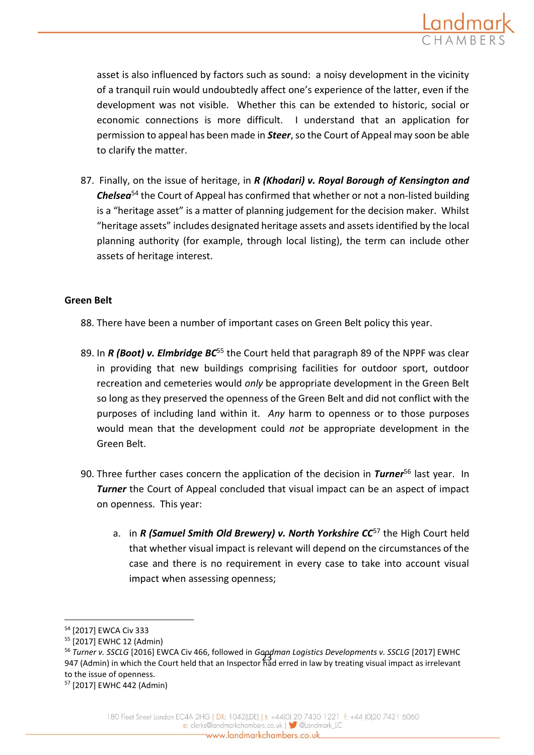![](_page_22_Picture_0.jpeg)

asset is also influenced by factors such as sound: a noisy development in the vicinity of a tranquil ruin would undoubtedly affect one's experience of the latter, even if the development was not visible. Whether this can be extended to historic, social or economic connections is more difficult. I understand that an application for permission to appeal has been made in *Steer*, so the Court of Appeal may soon be able to clarify the matter.

87. Finally, on the issue of heritage, in *R (Khodari) v. Royal Borough of Kensington and Chelsea*<sup>54</sup> the Court of Appeal has confirmed that whether or not a non-listed building is a "heritage asset" is a matter of planning judgement for the decision maker. Whilst "heritage assets" includes designated heritage assets and assets identified by the local planning authority (for example, through local listing), the term can include other assets of heritage interest.

## **Green Belt**

- 88. There have been a number of important cases on Green Belt policy this year.
- 89. In *R* (Boot) v. Elmbridge BC<sup>55</sup> the Court held that paragraph 89 of the NPPF was clear in providing that new buildings comprising facilities for outdoor sport, outdoor recreation and cemeteries would *only* be appropriate development in the Green Belt so long as they preserved the openness of the Green Belt and did not conflict with the purposes of including land within it. *Any* harm to openness or to those purposes would mean that the development could *not* be appropriate development in the Green Belt.
- 90. Three further cases concern the application of the decision in *Turner*<sup>56</sup> last year. In **Turner** the Court of Appeal concluded that visual impact can be an aspect of impact on openness. This year:
	- a. in *R* (Samuel Smith Old Brewery) v. North Yorkshire CC<sup>57</sup> the High Court held that whether visual impact is relevant will depend on the circumstances of the case and there is no requirement in every case to take into account visual impact when assessing openness;

<sup>54</sup> [2017] EWCA Civ 333

<sup>55</sup> [2017] EWHC 12 (Admin)

<sup>23</sup> 947 (Admin) in which the Court held that an Inspector had erred in law by treating visual impact as irrelevant <sup>56</sup> *Turner v. SSCLG* [2016] EWCA Civ 466, followed in *Goodman Logistics Developments v. SSCLG* [2017] EWHC to the issue of openness.

<sup>57</sup> [2017] EWHC 442 (Admin)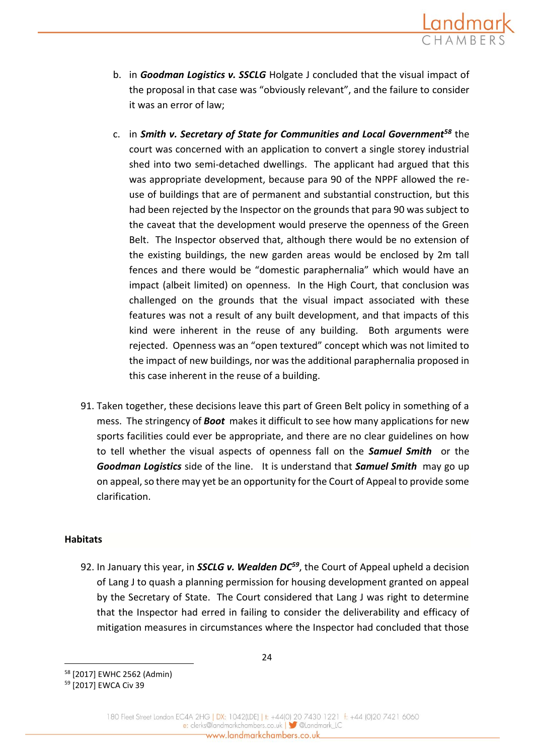![](_page_23_Picture_0.jpeg)

- b. in *Goodman Logistics v. SSCLG* Holgate J concluded that the visual impact of the proposal in that case was "obviously relevant", and the failure to consider it was an error of law;
- c. in *Smith v. Secretary of State for Communities and Local Government<sup>58</sup>* the court was concerned with an application to convert a single storey industrial shed into two semi-detached dwellings. The applicant had argued that this was appropriate development, because para 90 of the NPPF allowed the reuse of buildings that are of permanent and substantial construction, but this had been rejected by the Inspector on the grounds that para 90 was subject to the caveat that the development would preserve the openness of the Green Belt. The Inspector observed that, although there would be no extension of the existing buildings, the new garden areas would be enclosed by 2m tall fences and there would be "domestic paraphernalia" which would have an impact (albeit limited) on openness. In the High Court, that conclusion was challenged on the grounds that the visual impact associated with these features was not a result of any built development, and that impacts of this kind were inherent in the reuse of any building. Both arguments were rejected. Openness was an "open textured" concept which was not limited to the impact of new buildings, nor was the additional paraphernalia proposed in this case inherent in the reuse of a building.
- 91. Taken together, these decisions leave this part of Green Belt policy in something of a mess. The stringency of *Boot* makes it difficult to see how many applications for new sports facilities could ever be appropriate, and there are no clear guidelines on how to tell whether the visual aspects of openness fall on the *Samuel Smith* or the *Goodman Logistics* side of the line. It is understand that *Samuel Smith* may go up on appeal, so there may yet be an opportunity for the Court of Appeal to provide some clarification.

## **Habitats**

1

92. In January this year, in *SSCLG v. Wealden DC<sup>59</sup>*, the Court of Appeal upheld a decision of Lang J to quash a planning permission for housing development granted on appeal by the Secretary of State. The Court considered that Lang J was right to determine that the Inspector had erred in failing to consider the deliverability and efficacy of mitigation measures in circumstances where the Inspector had concluded that those

<sup>58</sup> [2017] EWHC 2562 (Admin)

<sup>59</sup> [2017] EWCA Civ 39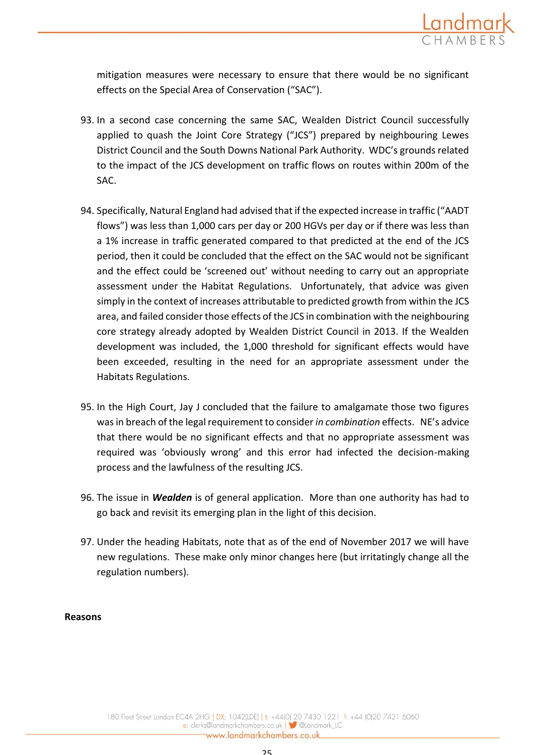![](_page_24_Picture_0.jpeg)

mitigation measures were necessary to ensure that there would be no significant effects on the Special Area of Conservation ("SAC").

- 93. In a second case concerning the same SAC, Wealden District Council successfully applied to quash the Joint Core Strategy ("JCS") prepared by neighbouring Lewes District Council and the South Downs National Park Authority. WDC's grounds related to the impact of the JCS development on traffic flows on routes within 200m of the SAC.
- 94. Specifically, Natural England had advised that if the expected increase in traffic ("AADT flows") was less than 1,000 cars per day or 200 HGVs per day or if there was less than a 1% increase in traffic generated compared to that predicted at the end of the JCS period, then it could be concluded that the effect on the SAC would not be significant and the effect could be 'screened out' without needing to carry out an appropriate assessment under the Habitat Regulations. Unfortunately, that advice was given simply in the context of increases attributable to predicted growth from within the JCS area, and failed consider those effects of the JCS in combination with the neighbouring core strategy already adopted by Wealden District Council in 2013. If the Wealden development was included, the 1,000 threshold for significant effects would have been exceeded, resulting in the need for an appropriate assessment under the Habitats Regulations.
- 95. In the High Court, Jay J concluded that the failure to amalgamate those two figures was in breach of the legal requirement to consider *in combination* effects. NE's advice that there would be no significant effects and that no appropriate assessment was required was 'obviously wrong' and this error had infected the decision-making process and the lawfulness of the resulting JCS.
- 96. The issue in *Wealden* is of general application. More than one authority has had to go back and revisit its emerging plan in the light of this decision.
- 97. Under the heading Habitats, note that as of the end of November 2017 we will have new regulations. These make only minor changes here (but irritatingly change all the regulation numbers).

## **Reasons**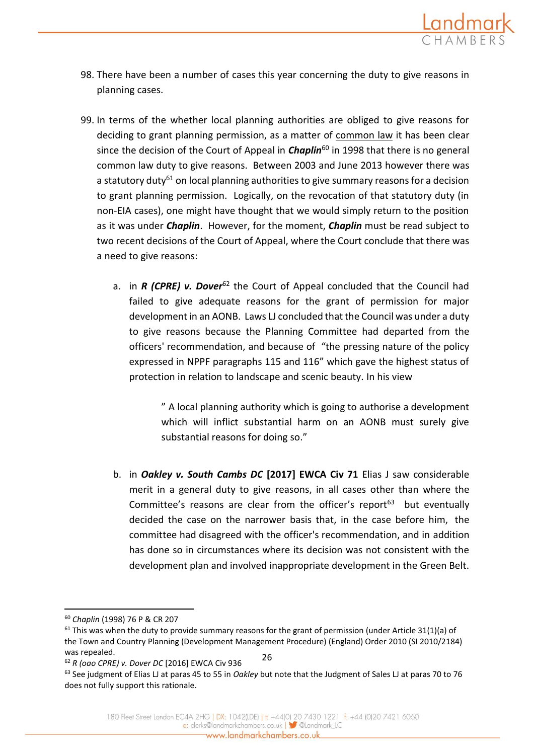![](_page_25_Picture_0.jpeg)

- 98. There have been a number of cases this year concerning the duty to give reasons in planning cases.
- 99. In terms of the whether local planning authorities are obliged to give reasons for deciding to grant planning permission, as a matter of common law it has been clear since the decision of the Court of Appeal in *Chaplin*<sup>60</sup> in 1998 that there is no general common law duty to give reasons. Between 2003 and June 2013 however there was a statutory duty<sup>61</sup> on local planning authorities to give summary reasons for a decision to grant planning permission. Logically, on the revocation of that statutory duty (in non-EIA cases), one might have thought that we would simply return to the position as it was under *Chaplin*. However, for the moment, *Chaplin* must be read subject to two recent decisions of the Court of Appeal, where the Court conclude that there was a need to give reasons:
	- a. in *R* (CPRE) v. Dover<sup>62</sup> the Court of Appeal concluded that the Council had failed to give adequate reasons for the grant of permission for major development in an AONB. Laws LJ concluded that the Council was under a duty to give reasons because the Planning Committee had departed from the officers' recommendation, and because of "the pressing nature of the policy expressed in NPPF paragraphs 115 and 116" which gave the highest status of protection in relation to landscape and scenic beauty. In his view

" A local planning authority which is going to authorise a development which will inflict substantial harm on an AONB must surely give substantial reasons for doing so."

b. in *Oakley v. South Cambs DC* **[2017] EWCA Civ 71** Elias J saw considerable merit in a general duty to give reasons, in all cases other than where the Committee's reasons are clear from the officer's report $63$  but eventually decided the case on the narrower basis that, in the case before him, the committee had disagreed with the officer's recommendation, and in addition has done so in circumstances where its decision was not consistent with the development plan and involved inappropriate development in the Green Belt.

<sup>60</sup> *Chaplin* (1998) 76 P & CR 207

<sup>26</sup>  $61$  This was when the duty to provide summary reasons for the grant of permission (under Article 31(1)(a) of the Town and Country Planning (Development Management Procedure) (England) Order 2010 (SI 2010/2184) was repealed.

<sup>62</sup> *R (oao CPRE) v. Dover DC* [2016] EWCA Civ 936

<sup>63</sup> See judgment of Elias LJ at paras 45 to 55 in *Oakley* but note that the Judgment of Sales LJ at paras 70 to 76 does not fully support this rationale.